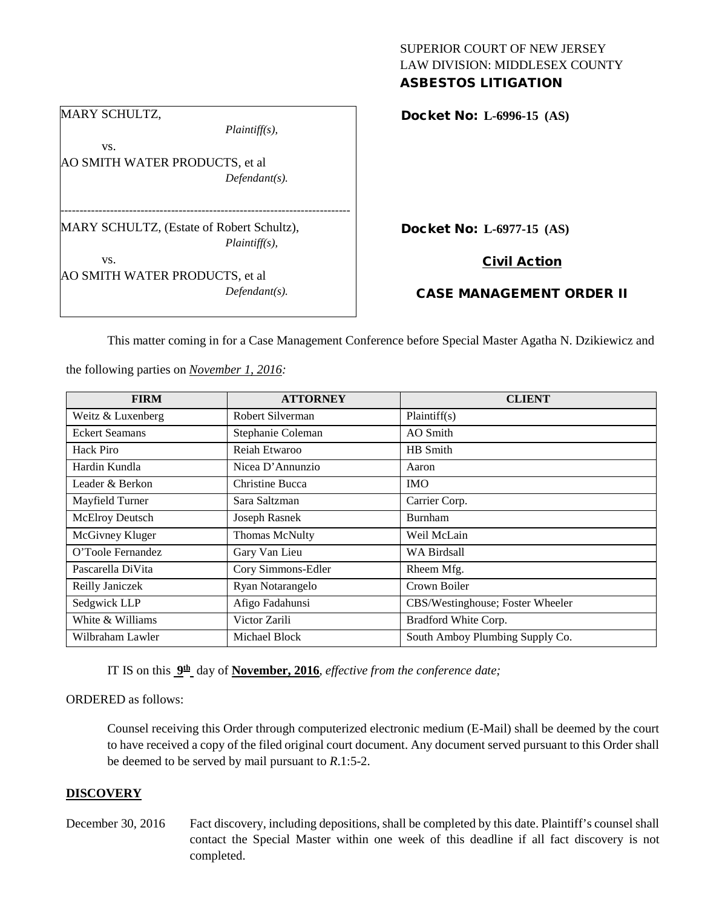#### SUPERIOR COURT OF NEW JERSEY LAW DIVISION: MIDDLESEX COUNTY ASBESTOS LITIGATION

| <b>MARY SCHULTZ,</b>                      |                  |  |
|-------------------------------------------|------------------|--|
|                                           | $Plaintiff(s)$ , |  |
|                                           |                  |  |
| VS.                                       |                  |  |
| AO SMITH WATER PRODUCTS, et al            |                  |  |
|                                           | $Defendant(s)$ . |  |
|                                           |                  |  |
| MARY SCHULTZ, (Estate of Robert Schultz), |                  |  |
|                                           |                  |  |
|                                           | $Plaintiff(s)$ , |  |
| VS.                                       |                  |  |
| AO SMITH WATER PRODUCTS, et al            |                  |  |
|                                           | $Defendant(s)$ . |  |

Docket No: **L-6996-15 (AS)** 

Docket No: **L-6977-15 (AS)** 

Civil Action

# CASE MANAGEMENT ORDER II

This matter coming in for a Case Management Conference before Special Master Agatha N. Dzikiewicz and

**FIRM ATTORNEY CLIENT** Weitz & Luxenberg Robert Silverman Plaintiff(s) Eckert Seamans Stephanie Coleman AO Smith Hack Piro Reiah Etwaroo HB Smith Hardin Kundla (Nicea D'Annunzio Aaron Leader & Berkon Christine Bucca IMO Mayfield Turner Sara Saltzman Carrier Corp. McElroy Deutsch Joseph Rasnek Burnham McGivney Kluger Thomas McNulty Weil McLain O'Toole Fernandez Gary Van Lieu WA Birdsall Pascarella DiVita Cory Simmons-Edler Rheem Mfg. Reilly Janiczek Ryan Notarangelo Crown Boiler Sedgwick LLP **Afigo Fadahunsi** CBS/Westinghouse; Foster Wheeler White & Williams Victor Zarili Bradford White Corp. Wilbraham Lawler Michael Block South Amboy Plumbing Supply Co.

the following parties on *November 1, 2016:*

IT IS on this **9th** day of **November, 2016**, *effective from the conference date;*

#### ORDERED as follows:

Counsel receiving this Order through computerized electronic medium (E-Mail) shall be deemed by the court to have received a copy of the filed original court document. Any document served pursuant to this Order shall be deemed to be served by mail pursuant to *R*.1:5-2.

#### **DISCOVERY**

- 
- December 30, 2016 Fact discovery, including depositions, shall be completed by this date. Plaintiff's counsel shall contact the Special Master within one week of this deadline if all fact discovery is not completed.